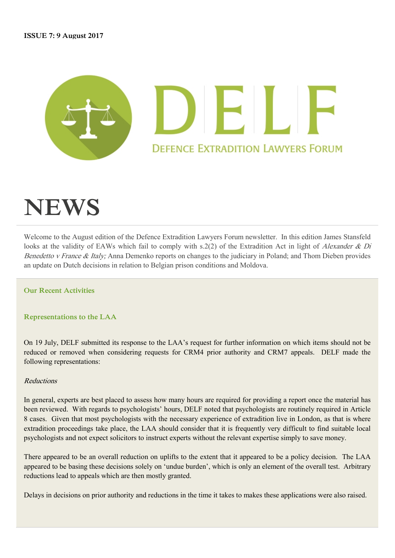

# **NEWS**

Welcome to the August edition of the Defence Extradition Lawyers Forum newsletter. In this edition James Stansfeld looks at the validity of EAWs which fail to comply with s.2(2) of the Extradition Act in light of Alexander & Di Benedetto v France & Italy; Anna Demenko reports on changes to the judiciary in Poland; and Thom Dieben provides an update on Dutch decisions in relation to Belgian prison conditions and Moldova.

**Our Recent Activities**

**Representations to the LAA** 

On 19 July, DELF submitted its response to the LAA's request for further information on which items should not be reduced or removed when considering requests for CRM4 prior authority and CRM7 appeals. DELF made the following representations:

#### Reductions

In general, experts are best placed to assess how many hours are required for providing a report once the material has been reviewed. With regards to psychologists' hours, DELF noted that psychologists are routinely required in Article 8 cases. Given that most psychologists with the necessary experience of extradition live in London, as that is where extradition proceedings take place, the LAA should consider that it is frequently very difficult to find suitable local psychologists and not expect solicitors to instruct experts without the relevant expertise simply to save money.

There appeared to be an overall reduction on uplifts to the extent that it appeared to be a policy decision. The LAA appeared to be basing these decisions solely on 'undue burden', which is only an element of the overall test. Arbitrary reductions lead to appeals which are then mostly granted.

Delays in decisions on prior authority and reductions in the time it takes to makes these applications were also raised.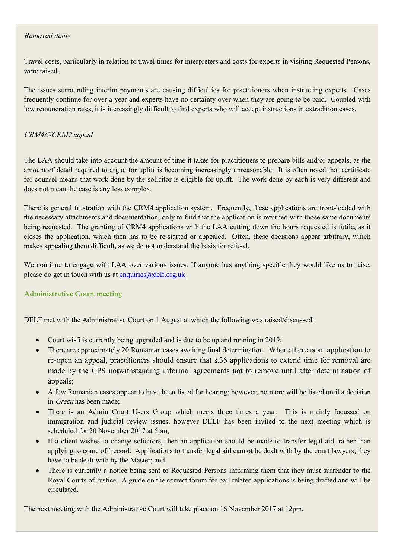# Removed items

Travel costs, particularly in relation to travel times for interpreters and costs for experts in visiting Requested Persons, were raised.

The issues surrounding interim payments are causing difficulties for practitioners when instructing experts. Cases frequently continue for over a year and experts have no certainty over when they are going to be paid. Coupled with low remuneration rates, it is increasingly difficult to find experts who will accept instructions in extradition cases.

# CRM4/7/CRM7 appeal

The LAA should take into account the amount of time it takes for practitioners to prepare bills and/or appeals, as the amount of detail required to argue for uplift is becoming increasingly unreasonable. It is often noted that certificate for counsel means that work done by the solicitor is eligible for uplift. The work done by each is very different and does not mean the case is any less complex.

There is general frustration with the CRM4 application system. Frequently, these applications are front-loaded with the necessary attachments and documentation, only to find that the application is returned with those same documents being requested. The granting of CRM4 applications with the LAA cutting down the hours requested is futile, as it closes the application, which then has to be re-started or appealed. Often, these decisions appear arbitrary, which makes appealing them difficult, as we do not understand the basis for refusal.

We continue to engage with LAA over various issues. If anyone has anything specific they would like us to raise, please do get in touch with us at enquiries $@delf.org.uk$ 

## **Administrative Court meeting**

DELF met with the Administrative Court on 1 August at which the following was raised/discussed:

- Court wi-fi is currently being upgraded and is due to be up and running in 2019;
- There are approximately 20 Romanian cases awaiting final determination. Where there is an application to re-open an appeal, practitioners should ensure that s.36 applications to extend time for removal are made by the CPS notwithstanding informal agreements not to remove until after determination of appeals;
- A few Romanian cases appear to have been listed for hearing; however, no more will be listed until a decision in Grecu has been made;
- There is an Admin Court Users Group which meets three times a year. This is mainly focussed on immigration and judicial review issues, however DELF has been invited to the next meeting which is scheduled for 20 November 2017 at 5pm;
- If a client wishes to change solicitors, then an application should be made to transfer legal aid, rather than applying to come off record. Applications to transfer legal aid cannot be dealt with by the court lawyers; they have to be dealt with by the Master; and
- There is currently a notice being sent to Requested Persons informing them that they must surrender to the Royal Courts of Justice. A guide on the correct forum for bail related applications is being drafted and will be circulated.

The next meeting with the Administrative Court will take place on 16 November 2017 at 12pm.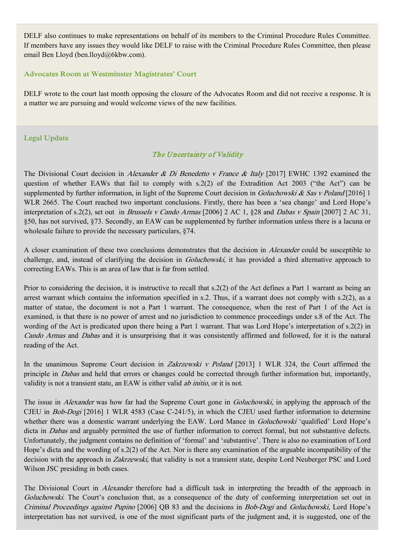DELF also continues to make representations on behalf of its members to the Criminal Procedure Rules Committee. If members have any issues they would like DELF to raise with the Criminal Procedure Rules Committee, then please email Ben Lloyd (ben.lloyd@6kbw.com).

#### **Advocates Room at Westminster Magistrates' Court**

DELF wrote to the court last month opposing the closure of the Advocates Room and did not receive a response. It is a matter we are pursuing and would welcome views of the new facilities.

### **Legal Update**

# The Uncertainty of Validity

The Divisional Court decision in Alexander & Di Benedetto v France & Italy [2017] EWHC 1392 examined the question of whether EAWs that fail to comply with s.2(2) of the Extradition Act 2003 ("the Act") can be supplemented by further information, in light of the Supreme Court decision in *Goluchowski & Sas v Poland* [2016] 1 WLR 2665. The Court reached two important conclusions. Firstly, there has been a 'sea change' and Lord Hope's interpretation of s.2(2), set out in *Brussels v Cando Armas* [2006] 2 AC 1, §28 and *Dabas v Spain* [2007] 2 AC 31, §50, has not survived, §73. Secondly, an EAW can be supplemented by further information unless there is a lacuna or wholesale failure to provide the necessary particulars, §74.

A closer examination of these two conclusions demonstrates that the decision in Alexander could be susceptible to challenge, and, instead of clarifying the decision in Goluchowski, it has provided a third alternative approach to correcting EAWs. This is an area of law that is far from settled.

Prior to considering the decision, it is instructive to recall that s.2(2) of the Act defines a Part 1 warrant as being an arrest warrant which contains the information specified in s.2. Thus, if a warrant does not comply with s.2(2), as a matter of statue, the document is not a Part 1 warrant. The consequence, when the rest of Part 1 of the Act is examined, is that there is no power of arrest and no jurisdiction to commence proceedings under s.8 of the Act. The wording of the Act is predicated upon there being a Part 1 warrant. That was Lord Hope's interpretation of s.2(2) in Cando Armas and Dabas and it is unsurprising that it was consistently affirmed and followed, for it is the natural reading of the Act.

In the unanimous Supreme Court decision in *Zakrzewski v Poland* [2013] 1 WLR 324, the Court affirmed the principle in Dabas and held that errors or changes could be corrected through further information but, importantly, validity is not a transient state, an EAW is either valid ab initio, or it is not.

The issue in *Alexander* was how far had the Supreme Court gone in *Goluchowski*, in applying the approach of the CJEU in Bob-Dogi [2016] 1 WLR 4583 (Case C-241/5), in which the CJEU used further information to determine whether there was a domestic warrant underlying the EAW. Lord Mance in *Goluchowski* 'qualified' Lord Hope's dicta in *Dabas* and arguably permitted the use of further information to correct formal, but not substantive defects. Unfortunately, the judgment contains no definition of 'formal' and 'substantive'. There is also no examination of Lord Hope's dicta and the wording of s.2(2) of the Act. Nor is there any examination of the arguable incompatibility of the decision with the approach in *Zakrzewski*, that validity is not a transient state, despite Lord Neuberger PSC and Lord Wilson JSC presiding in both cases.

The Divisional Court in *Alexander* therefore had a difficult task in interpreting the breadth of the approach in Goluchowski. The Court's conclusion that, as a consequence of the duty of conforming interpretation set out in Criminal Proceedings against Pupino [2006] QB 83 and the decisions in Bob-Dogi and Goluchowski, Lord Hope's interpretation has not survived, is one of the most significant parts of the judgment and, it is suggested, one of the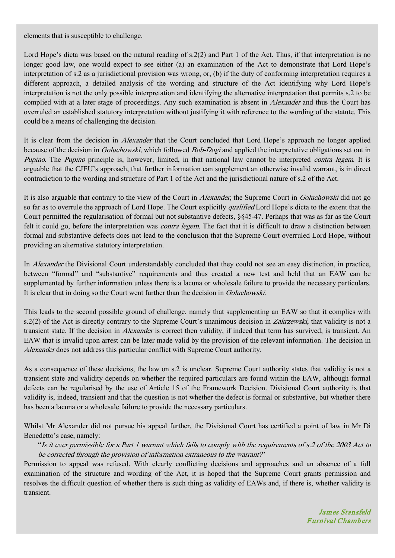elements that is susceptible to challenge.

Lord Hope's dicta was based on the natural reading of s.2(2) and Part 1 of the Act. Thus, if that interpretation is no longer good law, one would expect to see either (a) an examination of the Act to demonstrate that Lord Hope's interpretation of s.2 as a jurisdictional provision was wrong, or, (b) if the duty of conforming interpretation requires a different approach, a detailed analysis of the wording and structure of the Act identifying why Lord Hope's interpretation is not the only possible interpretation and identifying the alternative interpretation that permits s.2 to be complied with at a later stage of proceedings. Any such examination is absent in *Alexander* and thus the Court has overruled an established statutory interpretation without justifying it with reference to the wording of the statute. This could be a means of challenging the decision.

It is clear from the decision in *Alexander* that the Court concluded that Lord Hope's approach no longer applied because of the decision in *Goluchowski*, which followed *Bob-Dogi* and applied the interpretative obligations set out in Pupino. The Pupino principle is, however, limited, in that national law cannot be interpreted *contra legem*. It is arguable that the CJEU's approach, that further information can supplement an otherwise invalid warrant, is in direct contradiction to the wording and structure of Part 1 of the Act and the jurisdictional nature of s.2 of the Act.

It is also arguable that contrary to the view of the Court in Alexander, the Supreme Court in Goluchowski did not go so far as to overrule the approach of Lord Hope. The Court explicitly *qualified* Lord Hope's dicta to the extent that the Court permitted the regularisation of formal but not substantive defects, §§45-47. Perhaps that was as far as the Court felt it could go, before the interpretation was *contra legem*. The fact that it is difficult to draw a distinction between formal and substantive defects does not lead to the conclusion that the Supreme Court overruled Lord Hope, without providing an alternative statutory interpretation.

In Alexander the Divisional Court understandably concluded that they could not see an easy distinction, in practice, between "formal" and "substantive" requirements and thus created a new test and held that an EAW can be supplemented by further information unless there is a lacuna or wholesale failure to provide the necessary particulars. It is clear that in doing so the Court went further than the decision in Goluchowski.

This leads to the second possible ground of challenge, namely that supplementing an EAW so that it complies with s.2(2) of the Act is directly contrary to the Supreme Court's unanimous decision in *Zakrzewski*, that validity is not a transient state. If the decision in Alexander is correct then validity, if indeed that term has survived, is transient. An EAW that is invalid upon arrest can be later made valid by the provision of the relevant information. The decision in Alexander does not address this particular conflict with Supreme Court authority.

As a consequence of these decisions, the law on s.2 is unclear. Supreme Court authority states that validity is not a transient state and validity depends on whether the required particulars are found within the EAW, although formal defects can be regularised by the use of Article 15 of the Framework Decision. Divisional Court authority is that validity is, indeed, transient and that the question is not whether the defect is formal or substantive, but whether there has been a lacuna or a wholesale failure to provide the necessary particulars.

Whilst Mr Alexander did not pursue his appeal further, the Divisional Court has certified a point of law in Mr Di Benedetto's case, namely:

"Is it ever permissible for a Part 1 warrant which fails to comply with the requirements of s.2 of the 2003 Act to be corrected through the provision of information extraneous to the warrant?"

Permission to appeal was refused. With clearly conflicting decisions and approaches and an absence of a full examination of the structure and wording of the Act, it is hoped that the Supreme Court grants permission and resolves the difficult question of whether there is such thing as validity of EAWs and, if there is, whether validity is transient.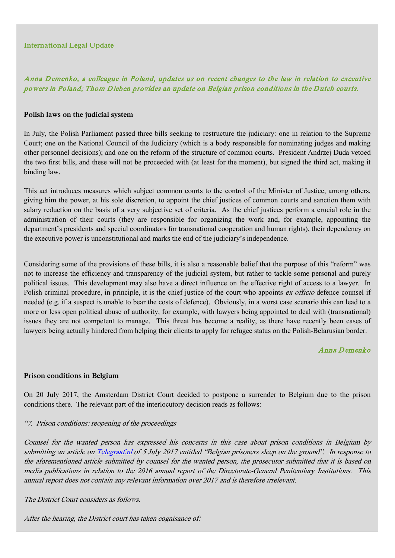## **International Legal Update**

# Anna D emenko, a colleague in Poland, updates us on recent changes to the law in relation to executive powers in Poland; Thom Dieben provides an update on Belgian prison conditions in the Dutch courts.

#### **Polish laws on the judicial system**

In July, the Polish Parliament passed three bills seeking to restructure the judiciary: one in relation to the Supreme Court; one on the National Council of the Judiciary (which is a body responsible for nominating judges and making other personnel decisions); and one on the reform of the structure of common courts. President Andrzej Duda vetoed the two first bills, and these will not be proceeded with (at least for the moment), but signed the third act, making it binding law.

This act introduces measures which subject common courts to the control of the Minister of Justice, among others, giving him the power, at his sole discretion, to appoint the chief justices of common courts and sanction them with salary reduction on the basis of a very subjective set of criteria. As the chief justices perform a crucial role in the administration of their courts (they are responsible for organizing the work and, for example, appointing the department's presidents and special coordinators for transnational cooperation and human rights), their dependency on the executive power is unconstitutional and marks the end of the judiciary's independence.

Considering some of the provisions of these bills, it is also a reasonable belief that the purpose of this "reform" was not to increase the efficiency and transparency of the judicial system, but rather to tackle some personal and purely political issues. This development may also have a direct influence on the effective right of access to a lawyer. In Polish criminal procedure, in principle, it is the chief justice of the court who appoints ex officio defence counsel if needed (e.g. if a suspect is unable to bear the costs of defence). Obviously, in a worst case scenario this can lead to a more or less open political abuse of authority, for example, with lawyers being appointed to deal with (transnational) issues they are not competent to manage. This threat has become a reality, as there have recently been cases of lawyers being actually hindered from helping their clients to apply for refugee status on the Polish-Belarusian border.

### Anna D emenko

#### **Prison conditions in Belgium**

On 20 July 2017, the Amsterdam District Court decided to postpone a surrender to Belgium due to the prison conditions there. The relevant part of the interlocutory decision reads as follows:

#### "7. Prison conditions: reopening of the proceedings

Counsel for the wanted person has expressed his concerns in this case about prison conditions in Belgium by submitting an article o[n Telegraaf.nl](https://protect-eu.mimecast.com/s/WDe9BFeN45pi9) of 5 July 2017 entitled "Belgian prisoners sleep on the ground". In response to the aforementioned article submitted by counsel for the wanted person, the prosecutor submitted that it is based on media publications in relation to the 2016 annual report of the Directorate-General Penitentiary Institutions. This annual report does not contain any relevant information over 2017 and is therefore irrelevant.

The District Court considers as follows.

After the hearing, the District court has taken cognisance of: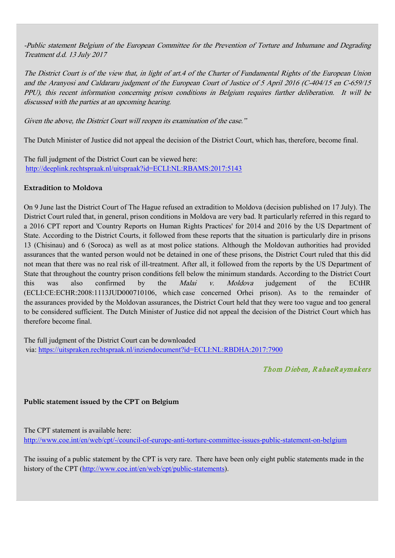-Public statement Belgium of the European Committee for the Prevention of Torture and Inhumane and Degrading Treatment d.d. 13 July 2017

The District Court is of the view that, in light of art.4 of the Charter of Fundamental Rights of the European Union and the Aranyosi and Caldararu judgment of the European Court of Justice of 5 April 2016 (C-404/15 en C-659/15 PPU), this recent information concerning prison conditions in Belgium requires further deliberation. It will be discussed with the parties at an upcoming hearing.

Given the above, the District Court will reopen its examination of the case."

The Dutch Minister of Justice did not appeal the decision of the District Court, which has, therefore, become final.

The full judgment of the District Court can be viewed here: [http://deeplink.rechtspraak.nl/uitspraak?id=ECLI:NL:RBAMS:2017:5143](https://protect-eu.mimecast.com/s/0J3RBHR0gKWCJ)

# **Extradition to Moldova**

On 9 June last the District Court of The Hague refused an extradition to Moldova (decision published on 17 July). The District Court ruled that, in general, prison conditions in Moldova are very bad. It particularly referred in this regard to a 2016 CPT report and 'Country Reports on Human Rights Practices' for 2014 and 2016 by the US Department of State. According to the District Courts, it followed from these reports that the situation is particularly dire in prisons 13 (Chisinau) and 6 (Soroca) as well as at most police stations. Although the Moldovan authorities had provided assurances that the wanted person would not be detained in one of these prisons, the District Court ruled that this did not mean that there was no real risk of ill-treatment. After all, it followed from the reports by the US Department of State that throughout the country prison conditions fell below the minimum standards. According to the District Court this was also confirmed by the *Malai v. Moldova* judgement of the ECtHR (ECLI:CE:ECHR:2008:1113JUD000710106, which case concerned Orhei prison). As to the remainder of the assurances provided by the Moldovan assurances, the District Court held that they were too vague and too general to be considered sufficient. The Dutch Minister of Justice did not appeal the decision of the District Court which has therefore become final.

The full judgment of the District Court can be downloaded via: [https://uitspraken.rechtspraak.nl/inziendocument?id=ECLI:NL:RBDHA:2017:7900](https://protect-eu.mimecast.com/s/wXqxBSK4xNxuw)

# Thom Dieben, RahaeRaymakers

## **Public statement issued by the CPT on Belgium**

The CPT statement is available here: [http://www.coe.int/en/web/cpt/-/council-of-europe-anti-torture-committee-issues-public-statement-on-belgium](https://protect-eu.mimecast.com/s/VAL8BHKYzDLsG)

The issuing of a public statement by the CPT is very rare. There have been only eight public statements made in the history of the CPT [\(http://www.coe.int/en/web/cpt/public-statements\)](https://protect-eu.mimecast.com/s/5J8vBHMeQDGUR).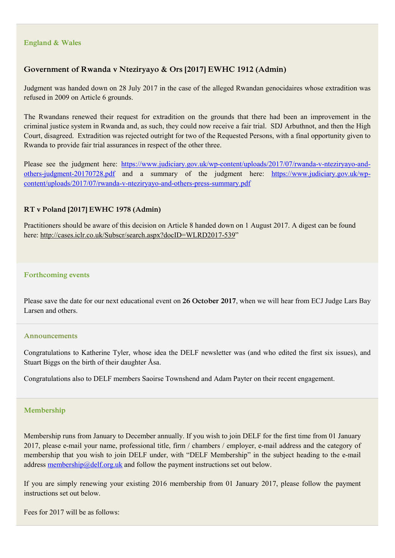#### **England & Wales**

# **Government of Rwanda v Nteziryayo & Ors [2017] EWHC 1912 (Admin)**

Judgment was handed down on 28 July 2017 in the case of the alleged Rwandan genocidaires whose extradition was refused in 2009 on Article 6 grounds.

The Rwandans renewed their request for extradition on the grounds that there had been an improvement in the criminal justice system in Rwanda and, as such, they could now receive a fair trial. SDJ Arbuthnot, and then the High Court, disagreed. Extradition was rejected outright for two of the Requested Persons, with a final opportunity given to Rwanda to provide fair trial assurances in respect of the other three.

Please see the judgment here: [https://www.judiciary.gov.uk/wp-content/uploads/2017/07/rwanda-v-nteziryayo-and](https://www.judiciary.gov.uk/wp-content/uploads/2017/07/rwanda-v-nteziryayo-and-others-judgment-20170728.pdf)[others-judgment-20170728.pdf](https://www.judiciary.gov.uk/wp-content/uploads/2017/07/rwanda-v-nteziryayo-and-others-judgment-20170728.pdf) and a summary of the judgment here: [https://www.judiciary.gov.uk/wp](https://www.judiciary.gov.uk/wp-content/uploads/2017/07/rwanda-v-nteziryayo-and-others-press-summary.pdf)[content/uploads/2017/07/rwanda-v-nteziryayo-and-others-press-summary.pdf](https://www.judiciary.gov.uk/wp-content/uploads/2017/07/rwanda-v-nteziryayo-and-others-press-summary.pdf)

#### **RT v Poland [2017] EWHC 1978 (Admin)**

Practitioners should be aware of this decision on Article 8 handed down on 1 August 2017. A digest can be found here[: http://cases.iclr.co.uk/Subscr/search.aspx?docID=WLRD2017-539"](https://protect-eu.mimecast.com/s/ANVGBHMqLlNhQ)

#### **Forthcoming events**

Please save the date for our next educational event on **26 October 2017**, when we will hear from ECJ Judge Lars Bay Larsen and others.

#### **Announcements**

Congratulations to Katherine Tyler, whose idea the DELF newsletter was (and who edited the first six issues), and Stuart Biggs on the birth of their daughter Åsa.

Congratulations also to DELF members Saoirse Townshend and Adam Payter on their recent engagement.

#### **Membership**

Membership runs from January to December annually. If you wish to join DELF for the first time from 01 January 2017, please e-mail your name, professional title, firm / chambers / employer, e-mail address and the category of membership that you wish to join DELF under, with "DELF Membership" in the subject heading to the e-mail addres[s membership@delf.org.uk](mailto:membership@delf.org.uk) and follow the payment instructions set out below.

If you are simply renewing your existing 2016 membership from 01 January 2017, please follow the payment instructions set out below.

Fees for 2017 will be as follows: